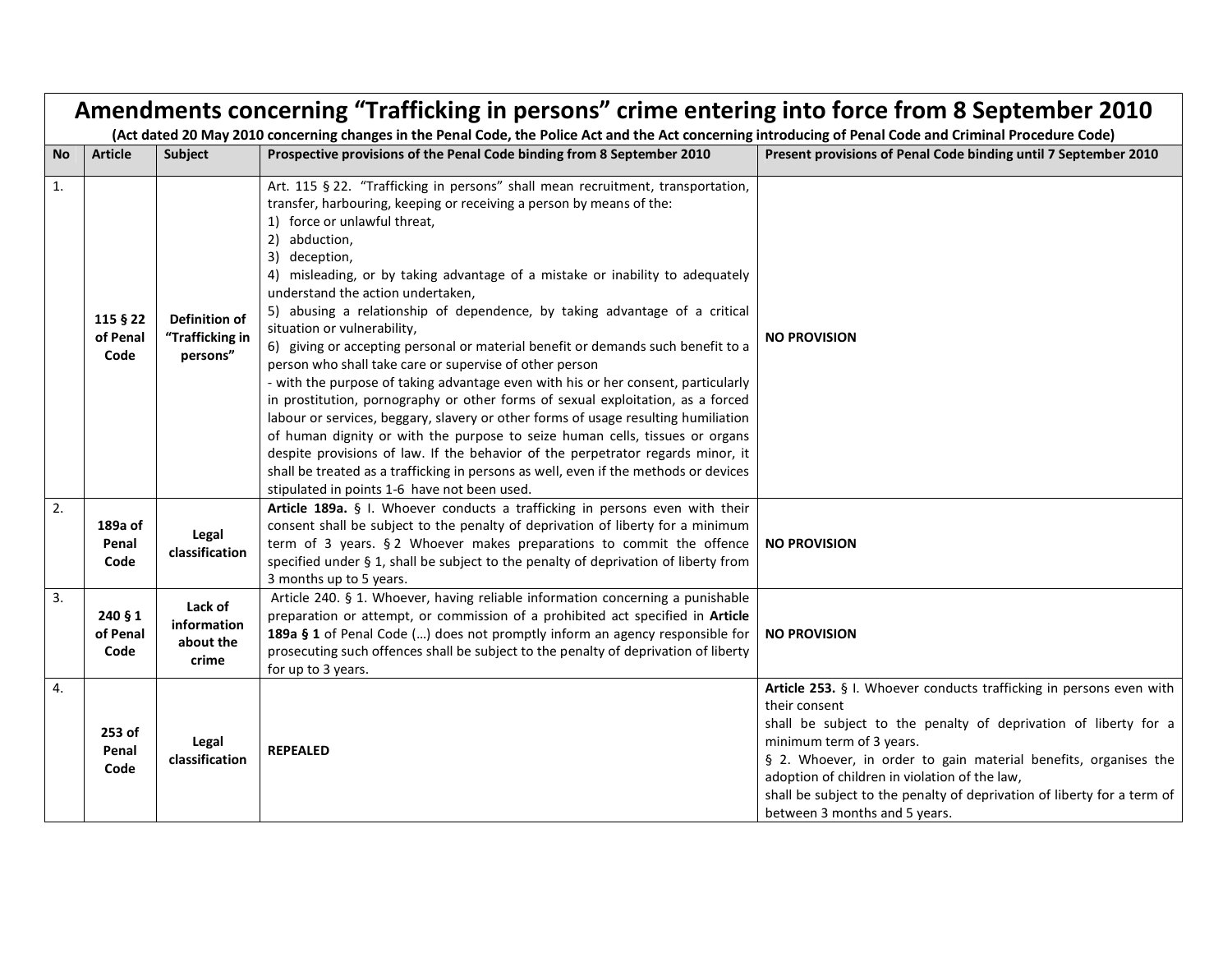| Amendments concerning "Trafficking in persons" crime entering into force from 8 September 2010 |                              |                                                     |                                                                                                                                                                                                                                                                                                                                                                                                                                                                                                                                                                                                                                                                                                                                                                                                                                                                                                                                                                                                                                                                                                                                                                                      |                                                                                                                                                                                                                                                                                                                                                                                                                     |
|------------------------------------------------------------------------------------------------|------------------------------|-----------------------------------------------------|--------------------------------------------------------------------------------------------------------------------------------------------------------------------------------------------------------------------------------------------------------------------------------------------------------------------------------------------------------------------------------------------------------------------------------------------------------------------------------------------------------------------------------------------------------------------------------------------------------------------------------------------------------------------------------------------------------------------------------------------------------------------------------------------------------------------------------------------------------------------------------------------------------------------------------------------------------------------------------------------------------------------------------------------------------------------------------------------------------------------------------------------------------------------------------------|---------------------------------------------------------------------------------------------------------------------------------------------------------------------------------------------------------------------------------------------------------------------------------------------------------------------------------------------------------------------------------------------------------------------|
| <b>No</b>                                                                                      | <b>Article</b>               | Subject                                             | (Act dated 20 May 2010 concerning changes in the Penal Code, the Police Act and the Act concerning introducing of Penal Code and Criminal Procedure Code)<br>Prospective provisions of the Penal Code binding from 8 September 2010                                                                                                                                                                                                                                                                                                                                                                                                                                                                                                                                                                                                                                                                                                                                                                                                                                                                                                                                                  | Present provisions of Penal Code binding until 7 September 2010                                                                                                                                                                                                                                                                                                                                                     |
|                                                                                                |                              |                                                     |                                                                                                                                                                                                                                                                                                                                                                                                                                                                                                                                                                                                                                                                                                                                                                                                                                                                                                                                                                                                                                                                                                                                                                                      |                                                                                                                                                                                                                                                                                                                                                                                                                     |
| 1.                                                                                             | 115 § 22<br>of Penal<br>Code | <b>Definition of</b><br>"Trafficking in<br>persons" | Art. 115 § 22. "Trafficking in persons" shall mean recruitment, transportation,<br>transfer, harbouring, keeping or receiving a person by means of the:<br>1) force or unlawful threat,<br>2) abduction,<br>3) deception,<br>4) misleading, or by taking advantage of a mistake or inability to adequately<br>understand the action undertaken,<br>5) abusing a relationship of dependence, by taking advantage of a critical<br>situation or vulnerability,<br>6) giving or accepting personal or material benefit or demands such benefit to a<br>person who shall take care or supervise of other person<br>- with the purpose of taking advantage even with his or her consent, particularly<br>in prostitution, pornography or other forms of sexual exploitation, as a forced<br>labour or services, beggary, slavery or other forms of usage resulting humiliation<br>of human dignity or with the purpose to seize human cells, tissues or organs<br>despite provisions of law. If the behavior of the perpetrator regards minor, it<br>shall be treated as a trafficking in persons as well, even if the methods or devices<br>stipulated in points 1-6 have not been used. | <b>NO PROVISION</b>                                                                                                                                                                                                                                                                                                                                                                                                 |
| 2.                                                                                             | 189a of<br>Penal<br>Code     | Legal<br>classification                             | Article 189a. § I. Whoever conducts a trafficking in persons even with their<br>consent shall be subject to the penalty of deprivation of liberty for a minimum<br>term of 3 years. § 2 Whoever makes preparations to commit the offence<br>specified under § 1, shall be subject to the penalty of deprivation of liberty from<br>3 months up to 5 years.                                                                                                                                                                                                                                                                                                                                                                                                                                                                                                                                                                                                                                                                                                                                                                                                                           | <b>NO PROVISION</b>                                                                                                                                                                                                                                                                                                                                                                                                 |
| 3.                                                                                             | 240 § 1<br>of Penal<br>Code  | Lack of<br>information<br>about the<br>crime        | Article 240. § 1. Whoever, having reliable information concerning a punishable<br>preparation or attempt, or commission of a prohibited act specified in Article<br>189a § 1 of Penal Code () does not promptly inform an agency responsible for<br>prosecuting such offences shall be subject to the penalty of deprivation of liberty<br>for up to 3 years.                                                                                                                                                                                                                                                                                                                                                                                                                                                                                                                                                                                                                                                                                                                                                                                                                        | <b>NO PROVISION</b>                                                                                                                                                                                                                                                                                                                                                                                                 |
| 4.                                                                                             | 253 of<br>Penal<br>Code      | Legal<br>classification                             | <b>REPEALED</b>                                                                                                                                                                                                                                                                                                                                                                                                                                                                                                                                                                                                                                                                                                                                                                                                                                                                                                                                                                                                                                                                                                                                                                      | Article 253. § I. Whoever conducts trafficking in persons even with<br>their consent<br>shall be subject to the penalty of deprivation of liberty for a<br>minimum term of 3 years.<br>§ 2. Whoever, in order to gain material benefits, organises the<br>adoption of children in violation of the law,<br>shall be subject to the penalty of deprivation of liberty for a term of<br>between 3 months and 5 years. |